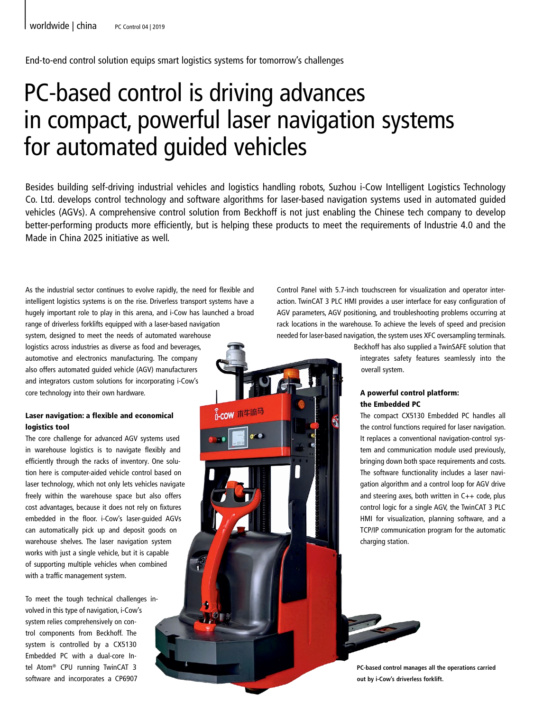End-to-end control solution equips smart logistics systems for tomorrow's challenges

# PC-based control is driving advances in compact, powerful laser navigation systems for automated guided vehicles

VOLI

Besides building self-driving industrial vehicles and logistics handling robots, Suzhou i-Cow Intelligent Logistics Technology Co. Ltd. develops control technology and software algorithms for laser-based navigation systems used in automated guided vehicles (AGVs). A comprehensive control solution from Beckhoff is not just enabling the Chinese tech company to develop better-performing products more efficiently, but is helping these products to meet the requirements of Industrie 4.0 and the Made in China 2025 initiative as well.

As the industrial sector continues to evolve rapidly, the need for flexible and intelligent logistics systems is on the rise. Driverless transport systems have a hugely important role to play in this arena, and i-Cow has launched a broad range of driverless forklifts equipped with a laser-based navigation

system, designed to meet the needs of automated warehouse logistics across industries as diverse as food and beverages, automotive and electronics manufacturing. The company also offers automated guided vehicle (AGV) manufacturers and integrators custom solutions for incorporating i-Cow's core technology into their own hardware.

# Laser navigation: a flexible and economical logistics tool

The core challenge for advanced AGV systems used in warehouse logistics is to navigate flexibly and efficiently through the racks of inventory. One solution here is computer-aided vehicle control based on laser technology, which not only lets vehicles navigate freely within the warehouse space but also offers cost advantages, because it does not rely on fixtures embedded in the floor. i-Cow's laser-guided AGVs can automatically pick up and deposit goods on warehouse shelves. The laser navigation system works with just a single vehicle, but it is capable of supporting multiple vehicles when combined with a traffic management system.

To meet the tough technical challenges involved in this type of navigation, i-Cow's system relies comprehensively on control components from Beckhoff. The system is controlled by a CX5130 Embedded PC with a dual-core Intel Atom® CPU running TwinCAT 3 software and incorporates a CP6907

Control Panel with 5.7-inch touchscreen for visualization and operator interaction. TwinCAT 3 PLC HMI provides a user interface for easy configuration of AGV parameters, AGV positioning, and troubleshooting problems occurring at rack locations in the warehouse. To achieve the levels of speed and precision needed for laser-based navigation, the system uses XFC oversampling terminals.

> Beckhoff has also supplied a TwinSAFE solution that integrates safety features seamlessly into the overall system.

## A powerful control platform: the Embedded PC

The compact CX5130 Embedded PC handles all the control functions required for laser navigation. It replaces a conventional navigation-control system and communication module used previously, bringing down both space requirements and costs. The software functionality includes a laser navigation algorithm and a control loop for AGV drive and steering axes, both written in  $C++$  code, plus control logic for a single AGV, the TwinCAT 3 PLC HMI for visualization, planning software, and a TCP/IP communication program for the automatic charging station.



**PC-based control manages all the operations carried out by i-Cow's driverless forklift.**